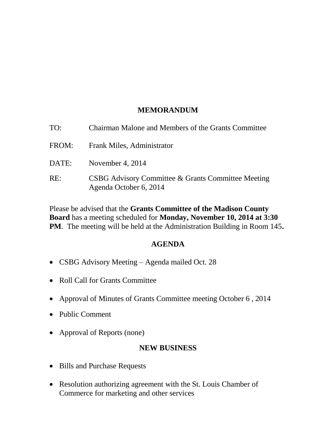### **MEMORANDUM**

| TO:   | Chairman Malone and Members of the Grants Committee                          |
|-------|------------------------------------------------------------------------------|
| FROM: | Frank Miles, Administrator                                                   |
| DATE: | November 4, 2014                                                             |
| RE:   | CSBG Advisory Committee & Grants Committee Meeting<br>Agenda October 6, 2014 |

Please be advised that the **Grants Committee of the Madison County Board** has a meeting scheduled for **Monday, November 10, 2014 at 3:30 PM**. The meeting will be held at the Administration Building in Room 145**.** 

## **AGENDA**

- CSBG Advisory Meeting Agenda mailed Oct. 28
- Roll Call for Grants Committee
- Approval of Minutes of Grants Committee meeting October 6 , 2014
- Public Comment
- Approval of Reports (none)

# **NEW BUSINESS**

- Bills and Purchase Requests
- Resolution authorizing agreement with the St. Louis Chamber of Commerce for marketing and other services